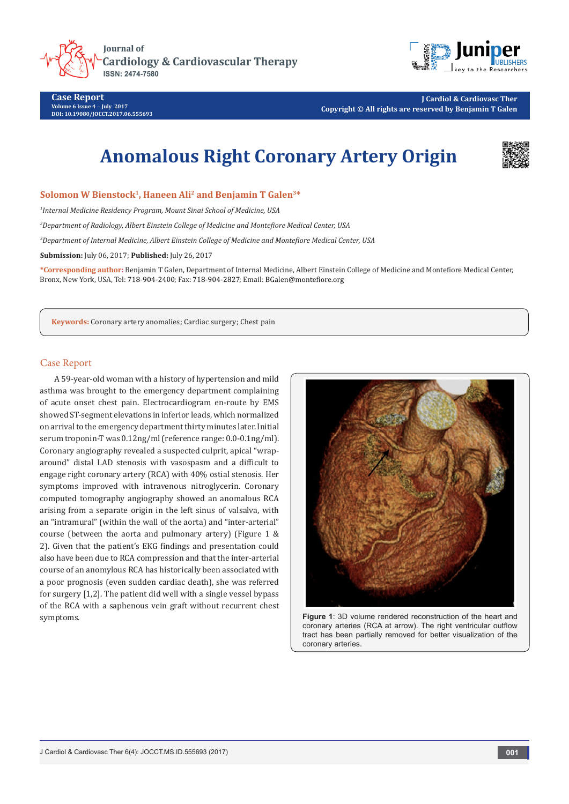



**J Cardiol & Cardiovasc Ther Copyright © All rights are reserved by Benjamin T Galen**

# **Anomalous Right Coronary Artery Origin**



### **Solomon W Bienstock1, Haneen Ali2 and Benjamin T Galen3\***

*1 Internal Medicine Residency Program, Mount Sinai School of Medicine, USA* 

*2 Department of Radiology, Albert Einstein College of Medicine and Montefiore Medical Center, USA*

*3 Department of Internal Medicine, Albert Einstein College of Medicine and Montefiore Medical Center, USA*

**Submission:** July 06, 2017; **Published:** July 26, 2017

**\*Corresponding author:** Benjamin T Galen, Department of Internal Medicine, Albert Einstein College of Medicine and Montefiore Medical Center, Bronx, New York, USA, Tel: 718-904-2400; Fax: 718-904-2827; Email: BGalen@montefiore.org

**Keywords:** Coronary artery anomalies; Cardiac surgery; Chest pain

# Case Report

A 59-year-old woman with a history of hypertension and mild asthma was brought to the emergency department complaining of acute onset chest pain. Electrocardiogram en-route by EMS showed ST-segment elevations in inferior leads, which normalized on arrival to the emergency department thirty minutes later. Initial serum troponin-T was 0.12ng/ml (reference range: 0.0-0.1ng/ml). Coronary angiography revealed a suspected culprit, apical "wraparound" distal LAD stenosis with vasospasm and a difficult to engage right coronary artery (RCA) with 40% ostial stenosis. Her symptoms improved with intravenous nitroglycerin. Coronary computed tomography angiography showed an anomalous RCA arising from a separate origin in the left sinus of valsalva, with an "intramural" (within the wall of the aorta) and "inter-arterial" course (between the aorta and pulmonary artery) (Figure 1 & 2). Given that the patient's EKG findings and presentation could also have been due to RCA compression and that the inter-arterial course of an anomylous RCA has historically been associated with a poor prognosis (even sudden cardiac death), she was referred for surgery [1,2]. The patient did well with a single vessel bypass of the RCA with a saphenous vein graft without recurrent chest symptoms. **Figure 1**: 3D volume rendered reconstruction of the heart and



coronary arteries (RCA at arrow). The right ventricular outflow tract has been partially removed for better visualization of the coronary arteries.